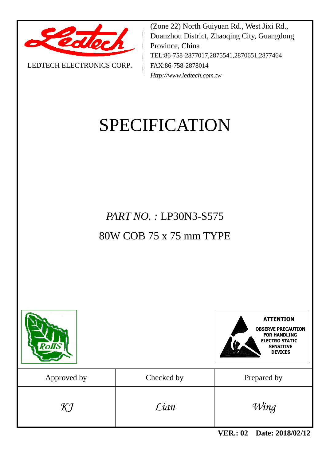

LEDTECH ELECTRONICS CORP**.**

(Zone 22) North Guiyuan Rd., West Jixi Rd., Duanzhou District, Zhaoqing City, Guangdong Province, China TEL:86-758-2877017,2875541,2870651,2877464 FAX:86-758-2878014 *Http://www.ledtech.com.tw*

# SPECIFICATION

*PART NO. :* LP30N3-S575 80W COB 75 x 75 mm TYPE





| Approved by | Checked by | Prepared by |
|-------------|------------|-------------|
| KJ          | Lian       | Wing        |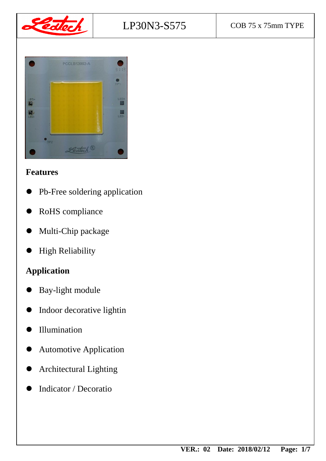

# LP30N3-S575 COB 75 x 75mm TYPE



## **Features**

- Pb-Free soldering application
- RoHS compliance
- Multi-Chip package
- High Reliability

## **Application**

- Bay-light module
- Indoor decorative lightin
- Illumination
- Automotive Application
- Architectural Lighting
- Indicator / Decoratio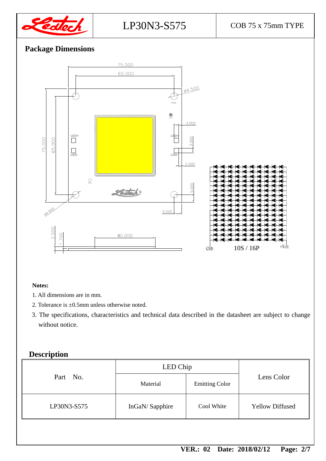

## **Package Dimensions**



#### **Notes:**

- 1. All dimensions are in mm.
- 2. Tolerance is ±0.5mm unless otherwise noted.
- 3. The specifications, characteristics and technical data described in the datasheet are subject to change without notice.

#### **Description**

|             | LED Chip       |                       |                        |  |
|-------------|----------------|-----------------------|------------------------|--|
| Part No.    | Material       | <b>Emitting Color</b> | Lens Color             |  |
| LP30N3-S575 | InGaN/Sapphire | Cool White            | <b>Yellow Diffused</b> |  |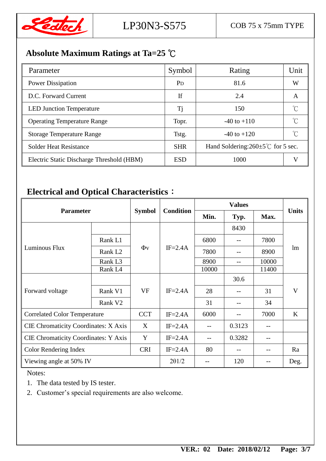

## **Absolute Maximum Ratings at Ta=25** ℃

| Parameter                                 | Symbol                | Rating                                         | Unit |  |
|-------------------------------------------|-----------------------|------------------------------------------------|------|--|
| <b>Power Dissipation</b>                  | <b>P</b> <sub>D</sub> | 81.6                                           | W    |  |
| D.C. Forward Current                      | If                    | 2.4                                            | A    |  |
| <b>LED Junction Temperature</b>           | Ti                    | 150                                            |      |  |
| <b>Operating Temperature Range</b>        | Topr.                 | $-40$ to $+110$                                |      |  |
| <b>Storage Temperature Range</b>          | Tstg.                 | $-40$ to $+120$                                |      |  |
| <b>Solder Heat Resistance</b>             | <b>SHR</b>            | Hand Soldering: $260 \pm 5^{\circ}$ for 5 sec. |      |  |
| Electric Static Discharge Threshold (HBM) | <b>ESD</b>            | 1000                                           |      |  |

## **Electrical and Optical Characteristics**:

| <b>Parameter</b>                            |                     |               |                  |                   |        |       |              |
|---------------------------------------------|---------------------|---------------|------------------|-------------------|--------|-------|--------------|
|                                             |                     | <b>Symbol</b> | <b>Condition</b> | Min.              | Typ.   | Max.  | <b>Units</b> |
|                                             |                     |               | $IF=2.4A$        |                   | 8430   |       | lm           |
|                                             | Rank L1             |               |                  | 6800              | $- -$  | 7800  |              |
| Luminous Flux                               | Rank L <sub>2</sub> | $\Phi$ v      |                  | 7800              | --     | 8900  |              |
|                                             | Rank L <sub>3</sub> |               |                  | 8900              | $-$    | 10000 |              |
|                                             | Rank L <sub>4</sub> |               |                  | 10000             |        | 11400 |              |
|                                             |                     | <b>VF</b>     | $IF=2.4A$        |                   | 30.6   |       | V            |
| Forward voltage                             | Rank V1             |               |                  | 28                |        | 31    |              |
|                                             | Rank V <sub>2</sub> |               |                  | 31                | --     | 34    |              |
| <b>Correlated Color Temperature</b>         |                     | <b>CCT</b>    | $IF = 2.4A$      | 6000              |        | 7000  | $\bf K$      |
| <b>CIE Chromaticity Coordinates: X Axis</b> |                     | X             | $IF=2.4A$        | $-$               | 0.3123 | --    |              |
| <b>CIE Chromaticity Coordinates: Y Axis</b> |                     | Y             | $IF=2.4A$        | $\qquad \qquad -$ | 0.3282 |       |              |
| Color Rendering Index                       |                     | <b>CRI</b>    | $IF=2.4A$        | 80                | --     |       | Ra           |
| Viewing angle at 50% IV                     |                     |               | 201/2            |                   | 120    |       | Deg.         |

Notes:

- 1. The data tested by IS tester.
- 2. Customer's special requirements are also welcome.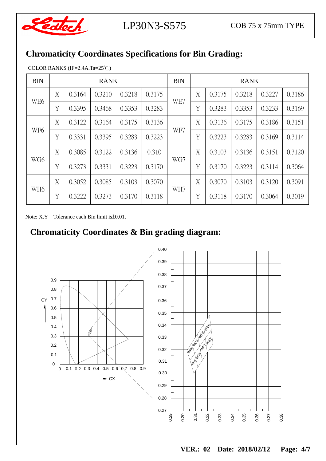

## **Chromaticity Coordinates Specifications for Bin Grading:**

COLOR RANKS (IF=2.4A.Ta=25℃)

| <b>BIN</b>      | <b>RANK</b> |        |        |        |        | <b>BIN</b> | <b>RANK</b> |        |        |        |        |
|-----------------|-------------|--------|--------|--------|--------|------------|-------------|--------|--------|--------|--------|
| WE <sub>6</sub> | X           | 0.3164 | 0.3210 | 0.3218 | 0.3175 | WE7        | X           | 0.3175 | 0.3218 | 0.3227 | 0.3186 |
|                 | Y           | 0.3395 | 0.3468 | 0.3353 | 0.3283 |            | Y           | 0.3283 | 0.3353 | 0.3233 | 0.3169 |
|                 | X           | 0.3122 | 0.3164 | 0.3175 | 0.3136 |            | X           | 0.3136 | 0.3175 | 0.3186 | 0.3151 |
| WF <sub>6</sub> | Y           | 0.3331 | 0.3395 | 0.3283 | 0.3223 | WF7        | Y           | 0.3223 | 0.3283 | 0.3169 | 0.3114 |
| WG6             | X           | 0.3085 | 0.3122 | 0.3136 | 0.310  | WG7        | X           | 0.3103 | 0.3136 | 0.3151 | 0.3120 |
|                 | Y           | 0.3273 | 0.3331 | 0.3223 | 0.3170 |            | Y           | 0.3170 | 0.3223 | 0.3114 | 0.3064 |
| WH <sub>6</sub> | X           | 0.3052 | 0.3085 | 0.3103 | 0.3070 | WH7        | X           | 0.3070 | 0.3103 | 0.3120 | 0.3091 |
|                 | Y           | 0.3222 | 0.3273 | 0.3170 | 0.3118 |            | Y           | 0.3118 | 0.3170 | 0.3064 | 0.3019 |

Note: X.Y Tolerance each Bin limit is ± 0.01.

## **Chromaticity Coordinates & Bin grading diagram:**

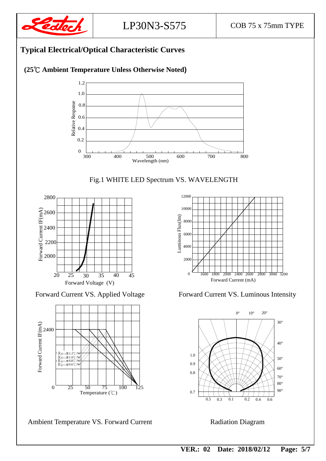

#### **Typical Electrical/Optical Characteristic Curves**

#### **(25**℃ **Ambient Temperature Unless Otherwise Noted)**









Ambient Temperature VS. Forward Current Radiation Diagram



Forward Current VS. Applied Voltage Forward Current VS. Luminous Intensity



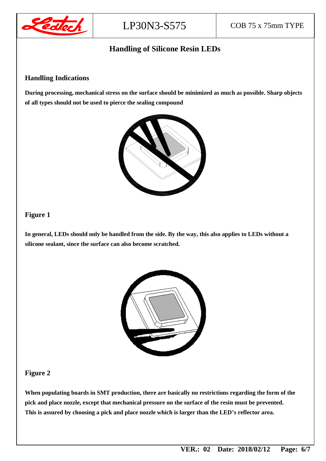

#### **Handling of Silicone Resin LEDs**

#### **Handling Indications**

**During processing, mechanical stress on the surface should be minimized as much as possible. Sharp objects of all types should not be used to pierce the sealing compound**



#### **Figure 1**

**In general, LEDs should only be handled from the side. By the way, this also applies to LEDs without a silicone sealant, since the surface can also become scratched.**



#### **Figure 2**

**When populating boards in SMT production, there are basically no restrictions regarding the form of the pick and place nozzle, except that mechanical pressure on the surface of the resin must be prevented. This is assured by choosing a pick and place nozzle which is larger than the LED's reflector area.**